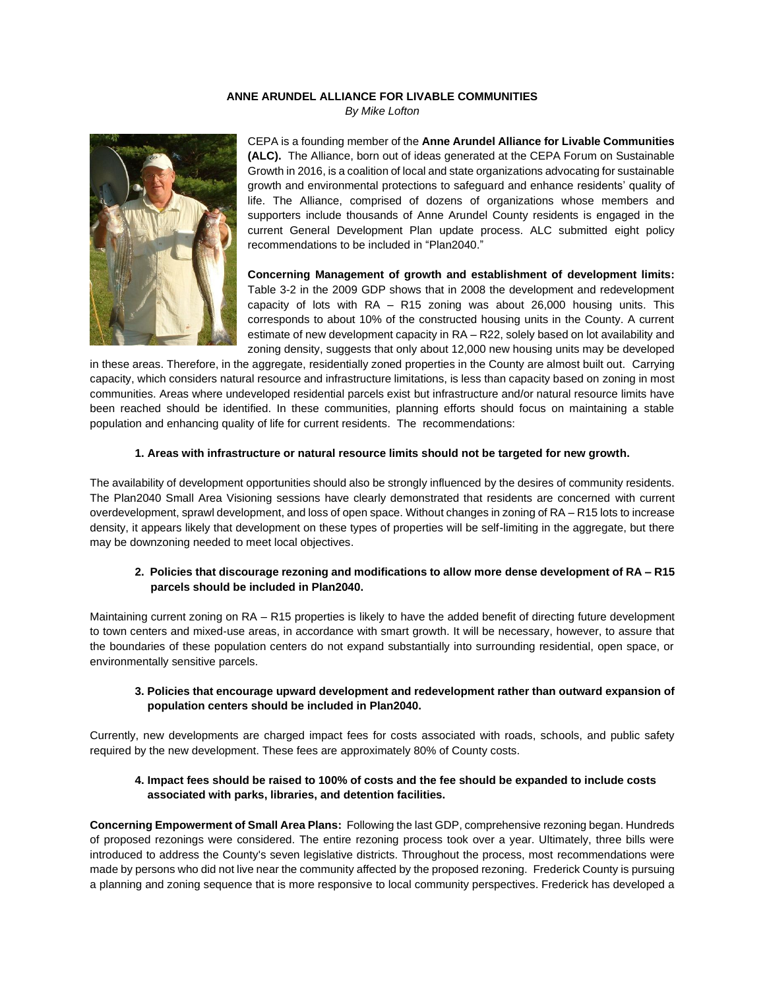### **ANNE ARUNDEL ALLIANCE FOR LIVABLE COMMUNITIES**

*By Mike Lofton*



CEPA is a founding member of the **Anne Arundel Alliance for Livable Communities (ALC).** The Alliance, born out of ideas generated at the CEPA Forum on Sustainable Growth in 2016, is a coalition of local and state organizations advocating for sustainable growth and environmental protections to safeguard and enhance residents' quality of life. The Alliance, comprised of dozens of organizations whose members and supporters include thousands of Anne Arundel County residents is engaged in the current General Development Plan update process. ALC submitted eight policy recommendations to be included in "Plan2040."

**Concerning Management of growth and establishment of development limits:**  Table 3-2 in the 2009 GDP shows that in 2008 the development and redevelopment capacity of lots with RA – R15 zoning was about 26,000 housing units. This corresponds to about 10% of the constructed housing units in the County. A current estimate of new development capacity in RA – R22, solely based on lot availability and zoning density, suggests that only about 12,000 new housing units may be developed

in these areas. Therefore, in the aggregate, residentially zoned properties in the County are almost built out. Carrying capacity, which considers natural resource and infrastructure limitations, is less than capacity based on zoning in most communities. Areas where undeveloped residential parcels exist but infrastructure and/or natural resource limits have been reached should be identified. In these communities, planning efforts should focus on maintaining a stable population and enhancing quality of life for current residents. The recommendations:

#### **1. Areas with infrastructure or natural resource limits should not be targeted for new growth.**

The availability of development opportunities should also be strongly influenced by the desires of community residents. The Plan2040 Small Area Visioning sessions have clearly demonstrated that residents are concerned with current overdevelopment, sprawl development, and loss of open space. Without changes in zoning of RA – R15 lots to increase density, it appears likely that development on these types of properties will be self-limiting in the aggregate, but there may be downzoning needed to meet local objectives.

### **2. Policies that discourage rezoning and modifications to allow more dense development of RA – R15 parcels should be included in Plan2040.**

Maintaining current zoning on RA – R15 properties is likely to have the added benefit of directing future development to town centers and mixed-use areas, in accordance with smart growth. It will be necessary, however, to assure that the boundaries of these population centers do not expand substantially into surrounding residential, open space, or environmentally sensitive parcels.

### **3. Policies that encourage upward development and redevelopment rather than outward expansion of population centers should be included in Plan2040.**

Currently, new developments are charged impact fees for costs associated with roads, schools, and public safety required by the new development. These fees are approximately 80% of County costs.

### **4. Impact fees should be raised to 100% of costs and the fee should be expanded to include costs associated with parks, libraries, and detention facilities.**

**Concerning Empowerment of Small Area Plans:** Following the last GDP, comprehensive rezoning began. Hundreds of proposed rezonings were considered. The entire rezoning process took over a year. Ultimately, three bills were introduced to address the County's seven legislative districts. Throughout the process, most recommendations were made by persons who did not live near the community affected by the proposed rezoning. Frederick County is pursuing a planning and zoning sequence that is more responsive to local community perspectives. Frederick has developed a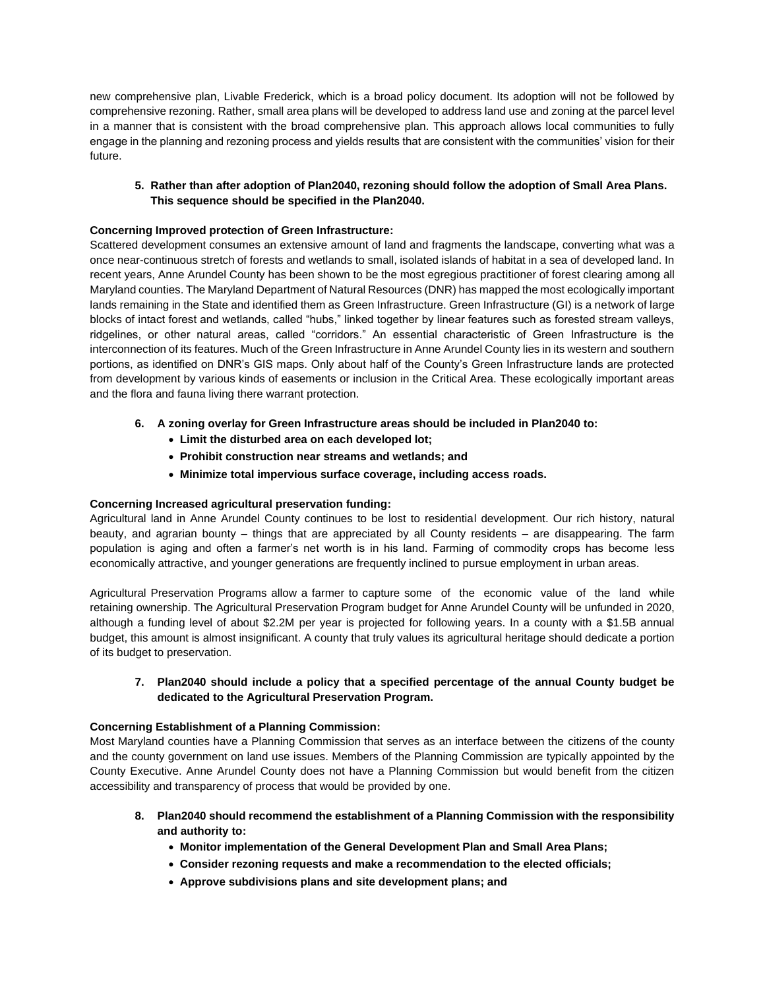new comprehensive plan, Livable Frederick, which is a broad policy document. Its adoption will not be followed by comprehensive rezoning. Rather, small area plans will be developed to address land use and zoning at the parcel level in a manner that is consistent with the broad comprehensive plan. This approach allows local communities to fully engage in the planning and rezoning process and yields results that are consistent with the communities' vision for their future.

## **5. Rather than after adoption of Plan2040, rezoning should follow the adoption of Small Area Plans. This sequence should be specified in the Plan2040.**

## **Concerning Improved protection of Green Infrastructure:**

Scattered development consumes an extensive amount of land and fragments the landscape, converting what was a once near-continuous stretch of forests and wetlands to small, isolated islands of habitat in a sea of developed land. In recent years, Anne Arundel County has been shown to be the most egregious practitioner of forest clearing among all Maryland counties. The Maryland Department of Natural Resources (DNR) has mapped the most ecologically important lands remaining in the State and identified them as Green Infrastructure. Green Infrastructure (GI) is a network of large blocks of intact forest and wetlands, called "hubs," linked together by linear features such as forested stream valleys, ridgelines, or other natural areas, called "corridors." An essential characteristic of Green Infrastructure is the interconnection of its features. Much of the Green Infrastructure in Anne Arundel County lies in its western and southern portions, as identified on DNR's GIS maps. Only about half of the County's Green Infrastructure lands are protected from development by various kinds of easements or inclusion in the Critical Area. These ecologically important areas and the flora and fauna living there warrant protection.

- **6. A zoning overlay for Green Infrastructure areas should be included in Plan2040 to:**
	- **Limit the disturbed area on each developed lot;**
	- **Prohibit construction near streams and wetlands; and**
	- **Minimize total impervious surface coverage, including access roads.**

## **Concerning Increased agricultural preservation funding:**

Agricultural land in Anne Arundel County continues to be lost to residential development. Our rich history, natural beauty, and agrarian bounty – things that are appreciated by all County residents – are disappearing. The farm population is aging and often a farmer's net worth is in his land. Farming of commodity crops has become less economically attractive, and younger generations are frequently inclined to pursue employment in urban areas.

Agricultural Preservation Programs allow a farmer to capture some of the economic value of the land while retaining ownership. The Agricultural Preservation Program budget for Anne Arundel County will be unfunded in 2020, although a funding level of about \$2.2M per year is projected for following years. In a county with a \$1.5B annual budget, this amount is almost insignificant. A county that truly values its agricultural heritage should dedicate a portion of its budget to preservation.

### **7. Plan2040 should include a policy that a specified percentage of the annual County budget be dedicated to the Agricultural Preservation Program.**

## **Concerning Establishment of a Planning Commission:**

Most Maryland counties have a Planning Commission that serves as an interface between the citizens of the county and the county government on land use issues. Members of the Planning Commission are typically appointed by the County Executive. Anne Arundel County does not have a Planning Commission but would benefit from the citizen accessibility and transparency of process that would be provided by one.

- **8. Plan2040 should recommend the establishment of a Planning Commission with the responsibility and authority to:**
	- **Monitor implementation of the General Development Plan and Small Area Plans;**
	- **Consider rezoning requests and make a recommendation to the elected officials;**
	- **Approve subdivisions plans and site development plans; and**